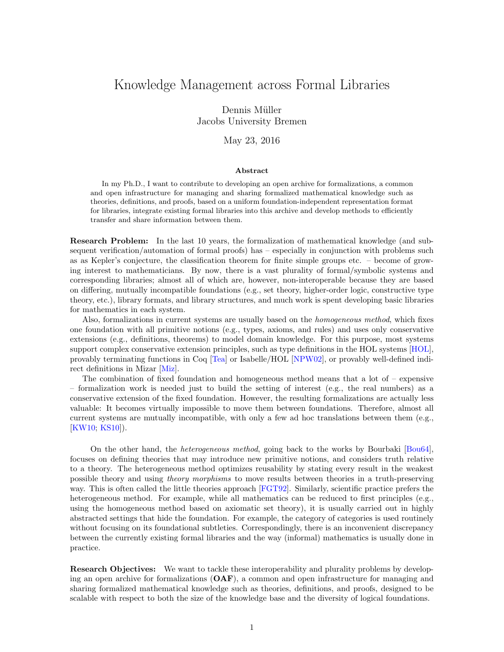## Knowledge Management across Formal Libraries

Dennis Müller Jacobs University Bremen

May 23, 2016

## Abstract

In my Ph.D., I want to contribute to developing an open archive for formalizations, a common and open infrastructure for managing and sharing formalized mathematical knowledge such as theories, definitions, and proofs, based on a uniform foundation-independent representation format for libraries, integrate existing formal libraries into this archive and develop methods to efficiently transfer and share information between them.

Research Problem: In the last 10 years, the formalization of mathematical knowledge (and subsequent verification/automation of formal proofs) has – especially in conjunction with problems such as as Kepler's conjecture, the classification theorem for finite simple groups etc. – become of growing interest to mathematicians. By now, there is a vast plurality of formal/symbolic systems and corresponding libraries; almost all of which are, however, non-interoperable because they are based on differing, mutually incompatible foundations (e.g., set theory, higher-order logic, constructive type theory, etc.), library formats, and library structures, and much work is spent developing basic libraries for mathematics in each system.

Also, formalizations in current systems are usually based on the homogeneous method, which fixes one foundation with all primitive notions (e.g., types, axioms, and rules) and uses only conservative extensions (e.g., definitions, theorems) to model domain knowledge. For this purpose, most systems support complex conservative extension principles, such as type definitions in the HOL systems [\[HOL\]](#page-3-0), provably terminating functions in Coq [\[Tea\]](#page-3-1) or Isabelle/HOL [\[NPW02\]](#page-3-2), or provably well-defined indirect definitions in Mizar [\[Miz\]](#page-2-0).

The combination of fixed foundation and homogeneous method means that a lot of  $-$  expensive – formalization work is needed just to build the setting of interest (e.g., the real numbers) as a conservative extension of the fixed foundation. However, the resulting formalizations are actually less valuable: It becomes virtually impossible to move them between foundations. Therefore, almost all current systems are mutually incompatible, with only a few ad hoc translations between them (e.g., [\[KW10;](#page-2-1) [KS10\]](#page-2-2)).

On the other hand, the heterogeneous method, going back to the works by Bourbaki [\[Bou64\]](#page-2-3), focuses on defining theories that may introduce new primitive notions, and considers truth relative to a theory. The heterogeneous method optimizes reusability by stating every result in the weakest possible theory and using theory morphisms to move results between theories in a truth-preserving way. This is often called the little theories approach [\[FGT92\]](#page-2-4). Similarly, scientific practice prefers the heterogeneous method. For example, while all mathematics can be reduced to first principles (e.g., using the homogeneous method based on axiomatic set theory), it is usually carried out in highly abstracted settings that hide the foundation. For example, the category of categories is used routinely without focusing on its foundational subtleties. Correspondingly, there is an inconvenient discrepancy between the currently existing formal libraries and the way (informal) mathematics is usually done in practice.

Research Objectives: We want to tackle these interoperability and plurality problems by developing an open archive for formalizations (OAF), a common and open infrastructure for managing and sharing formalized mathematical knowledge such as theories, definitions, and proofs, designed to be scalable with respect to both the size of the knowledge base and the diversity of logical foundations.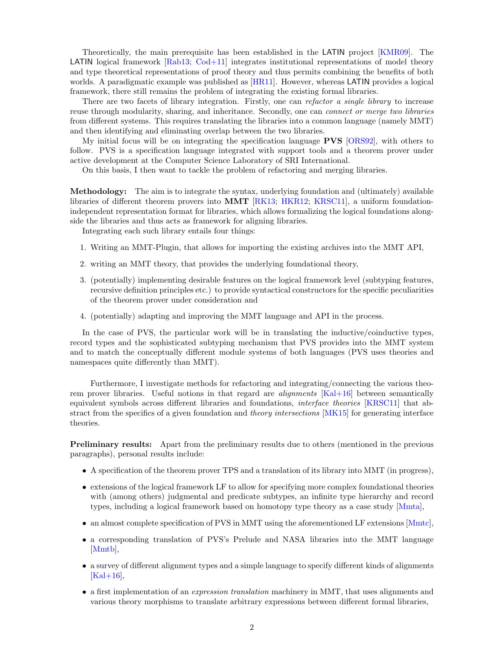Theoretically, the main prerequisite has been established in the LATIN project [\[KMR09\]](#page-2-5). The **LATIN** logical framework  $[Rab13; Cod+11]$  $[Rab13; Cod+11]$  $[Rab13; Cod+11]$  integrates institutional representations of model theory and type theoretical representations of proof theory and thus permits combining the benefits of both worlds. A paradigmatic example was published as [\[HR11\]](#page-2-7). However, whereas LATIN provides a logical framework, there still remains the problem of integrating the existing formal libraries.

There are two facets of library integration. Firstly, one can refactor a single library to increase reuse through modularity, sharing, and inheritance. Secondly, one can *connect or merge two libraries* from different systems. This requires translating the libraries into a common language (namely MMT) and then identifying and eliminating overlap between the two libraries.

My initial focus will be on integrating the specification language PVS [\[ORS92\]](#page-3-4), with others to follow. PVS is a specification language integrated with support tools and a theorem prover under active development at the Computer Science Laboratory of SRI International.

On this basis, I then want to tackle the problem of refactoring and merging libraries.

Methodology: The aim is to integrate the syntax, underlying foundation and (ultimately) available libraries of different theorem provers into MMT [\[RK13;](#page-3-5) [HKR12;](#page-2-8) [KRSC11\]](#page-2-9), a uniform foundationindependent representation format for libraries, which allows formalizing the logical foundations alongside the libraries and thus acts as framework for aligning libraries.

Integrating each such library entails four things:

- 1. Writing an MMT-Plugin, that allows for importing the existing archives into the MMT API,
- 2. writing an MMT theory, that provides the underlying foundational theory,
- 3. (potentially) implementing desirable features on the logical framework level (subtyping features, recursive definition principles etc.) to provide syntactical constructors for the specific peculiarities of the theorem prover under consideration and
- 4. (potentially) adapting and improving the MMT language and API in the process.

In the case of PVS, the particular work will be in translating the inductive/coinductive types, record types and the sophisticated subtyping mechanism that PVS provides into the MMT system and to match the conceptually different module systems of both languages (PVS uses theories and namespaces quite differently than MMT).

Furthermore, I investigate methods for refactoring and integrating/connecting the various theorem prover libraries. Useful notions in that regard are *alignments* [\[Kal+16\]](#page-2-10) between semantically equivalent symbols across different libraries and foundations, interface theories [\[KRSC11\]](#page-2-9) that abstract from the specifics of a given foundation and *theory intersections* [\[MK15\]](#page-2-11) for generating interface theories.

Preliminary results: Apart from the preliminary results due to others (mentioned in the previous paragraphs), personal results include:

- A specification of the theorem prover TPS and a translation of its library into MMT (in progress),
- extensions of the logical framework LF to allow for specifying more complex foundational theories with (among others) judgmental and predicate subtypes, an infinite type hierarchy and record types, including a logical framework based on homotopy type theory as a case study [\[Mmta\]](#page-3-6),
- an almost complete specification of PVS in MMT using the aforementioned LF extensions [\[Mmtc\]](#page-3-7),
- a corresponding translation of PVS's Prelude and NASA libraries into the MMT language [\[Mmtb\]](#page-3-8),
- a survey of different alignment types and a simple language to specify different kinds of alignments  $[Kal+16],$  $[Kal+16],$
- a first implementation of an *expression translation* machinery in MMT, that uses alignments and various theory morphisms to translate arbitrary expressions between different formal libraries,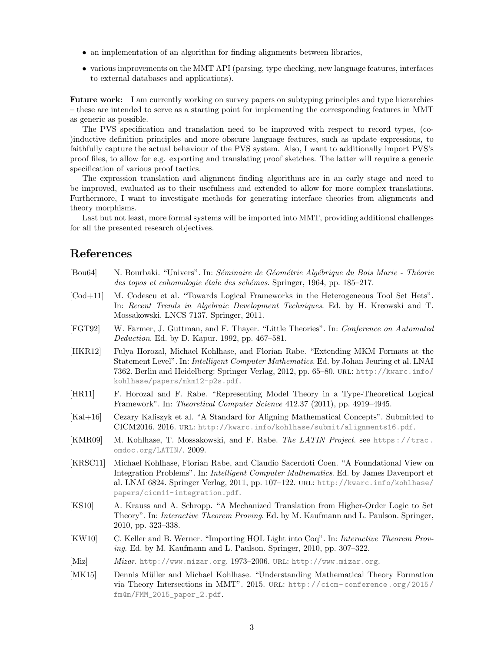- an implementation of an algorithm for finding alignments between libraries,
- various improvements on the MMT API (parsing, type checking, new language features, interfaces to external databases and applications).

Future work: I am currently working on survey papers on subtyping principles and type hierarchies – these are intended to serve as a starting point for implementing the corresponding features in MMT as generic as possible.

The PVS specification and translation need to be improved with respect to record types, (co- )inductive definition principles and more obscure language features, such as update expressions, to faithfully capture the actual behaviour of the PVS system. Also, I want to additionally import PVS's proof files, to allow for e.g. exporting and translating proof sketches. The latter will require a generic specification of various proof tactics.

The expression translation and alignment finding algorithms are in an early stage and need to be improved, evaluated as to their usefulness and extended to allow for more complex translations. Furthermore, I want to investigate methods for generating interface theories from alignments and theory morphisms.

Last but not least, more formal systems will be imported into MMT, providing additional challenges for all the presented research objectives.

## References

- <span id="page-2-3"></span>[Bou64] N. Bourbaki. "Univers". In: Séminaire de Géométrie Algébrique du Bois Marie - Théorie des topos et cohomologie étale des schémas. Springer, 1964, pp. 185–217.
- <span id="page-2-6"></span>[Cod+11] M. Codescu et al. "Towards Logical Frameworks in the Heterogeneous Tool Set Hets". In: Recent Trends in Algebraic Development Techniques. Ed. by H. Kreowski and T. Mossakowski. LNCS 7137. Springer, 2011.
- <span id="page-2-4"></span>[FGT92] W. Farmer, J. Guttman, and F. Thayer. "Little Theories". In: Conference on Automated Deduction. Ed. by D. Kapur. 1992, pp. 467–581.
- <span id="page-2-8"></span>[HKR12] Fulya Horozal, Michael Kohlhase, and Florian Rabe. "Extending MKM Formats at the Statement Level". In: Intelligent Computer Mathematics. Ed. by Johan Jeuring et al. LNAI 7362. Berlin and Heidelberg: Springer Verlag, 2012, pp. 65–80. url: [http://kwarc.info/](http://kwarc.info/kohlhase/papers/mkm12-p2s.pdf) [kohlhase/papers/mkm12-p2s.pdf](http://kwarc.info/kohlhase/papers/mkm12-p2s.pdf).
- <span id="page-2-7"></span>[HR11] F. Horozal and F. Rabe. "Representing Model Theory in a Type-Theoretical Logical Framework". In: Theoretical Computer Science 412.37 (2011), pp. 4919–4945.
- <span id="page-2-10"></span>[Kal+16] Cezary Kaliszyk et al. "A Standard for Aligning Mathematical Concepts". Submitted to CICM2016. 2016. url: <http://kwarc.info/kohlhase/submit/alignments16.pdf>.
- <span id="page-2-5"></span> $[KMR09]$  M. Kohlhase, T. Mossakowski, and F. Rabe. The LATIN Project. see [https://trac.](https://trac.omdoc.org/LATIN/) [omdoc.org/LATIN/](https://trac.omdoc.org/LATIN/). 2009.
- <span id="page-2-9"></span>[KRSC11] Michael Kohlhase, Florian Rabe, and Claudio Sacerdoti Coen. "A Foundational View on Integration Problems". In: Intelligent Computer Mathematics. Ed. by James Davenport et al. LNAI 6824. Springer Verlag, 2011, pp. 107–122. url: [http://kwarc.info/kohlhase/](http://kwarc.info/kohlhase/papers/cicm11-integration.pdf) [papers/cicm11-integration.pdf](http://kwarc.info/kohlhase/papers/cicm11-integration.pdf).
- <span id="page-2-2"></span>[KS10] A. Krauss and A. Schropp. "A Mechanized Translation from Higher-Order Logic to Set Theory". In: Interactive Theorem Proving. Ed. by M. Kaufmann and L. Paulson. Springer, 2010, pp. 323–338.
- <span id="page-2-1"></span>[KW10] C. Keller and B. Werner. "Importing HOL Light into Coq". In: Interactive Theorem Proving. Ed. by M. Kaufmann and L. Paulson. Springer, 2010, pp. 307–322.
- <span id="page-2-0"></span>[Miz] Mizar. <http://www.mizar.org>. 1973-2006. URL: http://www.mizar.org.
- <span id="page-2-11"></span>[MK15] Dennis Müller and Michael Kohlhase. "Understanding Mathematical Theory Formation via Theory Intersections in MMT". 2015. url: [http://cicm- conference.org/2015/](http://cicm-conference.org/2015/fm4m/FMM_2015_paper_2.pdf) [fm4m/FMM\\_2015\\_paper\\_2.pdf](http://cicm-conference.org/2015/fm4m/FMM_2015_paper_2.pdf).